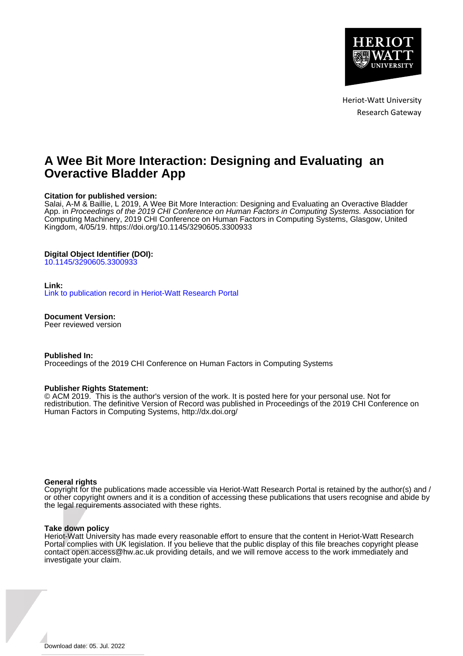

Heriot-Watt University Research Gateway

# **A Wee Bit More Interaction: Designing and Evaluating an Overactive Bladder App**

# **Citation for published version:**

Salai, A-M & Baillie, L 2019, A Wee Bit More Interaction: Designing and Evaluating an Overactive Bladder App. in Proceedings of the 2019 CHI Conference on Human Factors in Computing Systems. Association for Computing Machinery, 2019 CHI Conference on Human Factors in Computing Systems, Glasgow, United Kingdom, 4/05/19. <https://doi.org/10.1145/3290605.3300933>

## **Digital Object Identifier (DOI):**

[10.1145/3290605.3300933](https://doi.org/10.1145/3290605.3300933)

## **Link:**

[Link to publication record in Heriot-Watt Research Portal](https://researchportal.hw.ac.uk/en/publications/4f802dba-9d0b-41eb-bee2-c2ea56267100)

**Document Version:**

Peer reviewed version

**Published In:**

Proceedings of the 2019 CHI Conference on Human Factors in Computing Systems

## **Publisher Rights Statement:**

© ACM 2019. This is the author's version of the work. It is posted here for your personal use. Not for redistribution. The definitive Version of Record was published in Proceedings of the 2019 CHI Conference on Human Factors in Computing Systems, http://dx.doi.org/

## **General rights**

Copyright for the publications made accessible via Heriot-Watt Research Portal is retained by the author(s) and / or other copyright owners and it is a condition of accessing these publications that users recognise and abide by the legal requirements associated with these rights.

## **Take down policy**

Heriot-Watt University has made every reasonable effort to ensure that the content in Heriot-Watt Research Portal complies with UK legislation. If you believe that the public display of this file breaches copyright please contact open.access@hw.ac.uk providing details, and we will remove access to the work immediately and investigate your claim.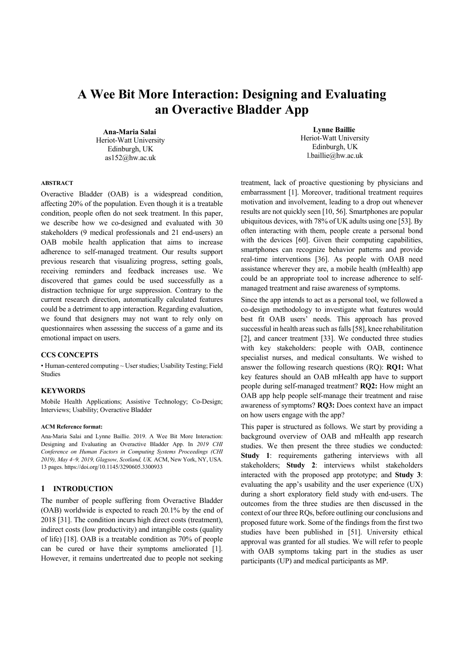# **A Wee Bit More Interaction: Designing and Evaluating an Overactive Bladder App**

**Ana-Maria Salai**  Heriot-Watt University Edinburgh, UK as152@hw.ac.uk

**Lynne Baillie**  Heriot-Watt University Edinburgh, UK l.baillie@hw.ac.uk

# **ABSTRACT**

Overactive Bladder (OAB) is a widespread condition, affecting 20% of the population. Even though it is a treatable condition, people often do not seek treatment. In this paper, we describe how we co-designed and evaluated with 30 stakeholders (9 medical professionals and 21 end-users) an OAB mobile health application that aims to increase adherence to self-managed treatment. Our results support previous research that visualizing progress, setting goals, receiving reminders and feedback increases use. We discovered that games could be used successfully as a distraction technique for urge suppression. Contrary to the current research direction, automatically calculated features could be a detriment to app interaction. Regarding evaluation, we found that designers may not want to rely only on questionnaires when assessing the success of a game and its emotional impact on users.

## **CCS CONCEPTS**

• Human-centered computing ~ User studies; Usability Testing; Field Studies

#### **KEYWORDS**

Mobile Health Applications; Assistive Technology; Co-Design; Interviews; Usability; Overactive Bladder

#### **ACM Reference format:**

Ana-Maria Salai and Lynne Baillie. 2019. A Wee Bit More Interaction: Designing and Evaluating an Overactive Bladder App. In *2019 CHI Conference on Human Factors in Computing Systems Proceedings (CHI 2019), May 4–9, 2019, Glagsow, Scotland, UK.* ACM, New York, NY, USA. 13 pages. https://doi.org/10.1145/3290605.3300933

## **1 INTRODUCTION**

The number of people suffering from Overactive Bladder (OAB) worldwide is expected to reach 20.1% by the end of 2018 [31]. The condition incurs high direct costs (treatment), indirect costs (low productivity) and intangible costs (quality of life) [18]. OAB is a treatable condition as 70% of people can be cured or have their symptoms ameliorated [1]. However, it remains undertreated due to people not seeking

treatment, lack of proactive questioning by physicians and embarrassment [1]. Moreover, traditional treatment requires motivation and involvement, leading to a drop out whenever results are not quickly seen [10, 56]. Smartphones are popular ubiquitous devices, with 78% of UK adults using one [53]. By often interacting with them, people create a personal bond with the devices [60]. Given their computing capabilities, smartphones can recognize behavior patterns and provide real-time interventions [36]. As people with OAB need assistance wherever they are, a mobile health (mHealth) app could be an appropriate tool to increase adherence to selfmanaged treatment and raise awareness of symptoms.

Since the app intends to act as a personal tool, we followed a co-design methodology to investigate what features would best fit OAB users' needs. This approach has proved successful in health areas such as falls [58], knee rehabilitation [2], and cancer treatment [33]. We conducted three studies with key stakeholders: people with OAB, continence specialist nurses, and medical consultants. We wished to answer the following research questions (RQ): **RQ1:** What key features should an OAB mHealth app have to support people during self-managed treatment? **RQ2:** How might an OAB app help people self-manage their treatment and raise awareness of symptoms? **RQ3:** Does context have an impact on how users engage with the app?

This paper is structured as follows. We start by providing a background overview of OAB and mHealth app research studies. We then present the three studies we conducted: Study 1: requirements gathering interviews with all stakeholders; **Study 2**: interviews whilst stakeholders interacted with the proposed app prototype; and **Study 3**: evaluating the app's usability and the user experience (UX) during a short exploratory field study with end-users. The outcomes from the three studies are then discussed in the context of our three RQs, before outlining our conclusions and proposed future work. Some of the findings from the first two studies have been published in [51]. University ethical approval was granted for all studies. We will refer to people with OAB symptoms taking part in the studies as user participants (UP) and medical participants as MP.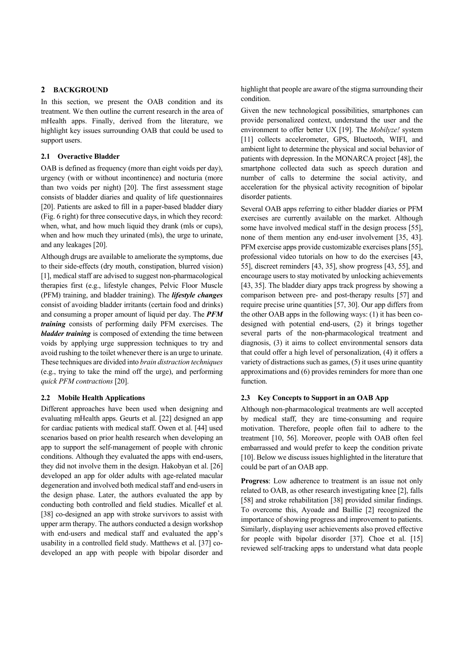# **2 BACKGROUND**

In this section, we present the OAB condition and its treatment. We then outline the current research in the area of mHealth apps. Finally, derived from the literature, we highlight key issues surrounding OAB that could be used to support users.

# **2.1 Overactive Bladder**

OAB is defined as frequency (more than eight voids per day), urgency (with or without incontinence) and nocturia (more than two voids per night) [20]. The first assessment stage consists of bladder diaries and quality of life questionnaires [20]. Patients are asked to fill in a paper-based bladder diary (Fig. 6 right) for three consecutive days, in which they record: when, what, and how much liquid they drank (mls or cups), when and how much they urinated (mls), the urge to urinate, and any leakages [20].

Although drugs are available to ameliorate the symptoms, due to their side-effects (dry mouth, constipation, blurred vision) [1], medical staff are advised to suggest non-pharmacological therapies first (e.g., lifestyle changes, Pelvic Floor Muscle (PFM) training, and bladder training). The *lifestyle changes* consist of avoiding bladder irritants (certain food and drinks) and consuming a proper amount of liquid per day. The *PFM training* consists of performing daily PFM exercises. The *bladder training* is composed of extending the time between voids by applying urge suppression techniques to try and avoid rushing to the toilet whenever there is an urge to urinate. These techniques are divided into *brain distraction techniques* (e.g., trying to take the mind off the urge), and performing *quick PFM contractions* [20].

## **2.2 Mobile Health Applications**

Different approaches have been used when designing and evaluating mHealth apps. Geurts et al. [22] designed an app for cardiac patients with medical staff. Owen et al. [44] used scenarios based on prior health research when developing an app to support the self-management of people with chronic conditions. Although they evaluated the apps with end-users, they did not involve them in the design. Hakobyan et al. [26] developed an app for older adults with age-related macular degeneration and involved both medical staff and end-users in the design phase. Later, the authors evaluated the app by conducting both controlled and field studies. Micallef et al. [38] co-designed an app with stroke survivors to assist with upper arm therapy. The authors conducted a design workshop with end-users and medical staff and evaluated the app's usability in a controlled field study. Matthews et al. [37] codeveloped an app with people with bipolar disorder and

highlight that people are aware of the stigma surrounding their condition.

Given the new technological possibilities, smartphones can provide personalized context, understand the user and the environment to offer better UX [19]. The *Mobilyze!* system [11] collects accelerometer, GPS, Bluetooth, WIFI, and ambient light to determine the physical and social behavior of patients with depression. In the MONARCA project [48], the smartphone collected data such as speech duration and number of calls to determine the social activity, and acceleration for the physical activity recognition of bipolar disorder patients.

Several OAB apps referring to either bladder diaries or PFM exercises are currently available on the market. Although some have involved medical staff in the design process [55], none of them mention any end-user involvement [35, 43]. PFM exercise apps provide customizable exercises plans [55], professional video tutorials on how to do the exercises [43, 55], discreet reminders [43, 35], show progress [43, 55], and encourage users to stay motivated by unlocking achievements [43, 35]. The bladder diary apps track progress by showing a comparison between pre- and post-therapy results [57] and require precise urine quantities [57, 30]. Our app differs from the other OAB apps in the following ways: (1) it has been codesigned with potential end-users, (2) it brings together several parts of the non-pharmacological treatment and diagnosis, (3) it aims to collect environmental sensors data that could offer a high level of personalization, (4) it offers a variety of distractions such as games, (5) it uses urine quantity approximations and (6) provides reminders for more than one function.

# **2.3 Key Concepts to Support in an OAB App**

Although non-pharmacological treatments are well accepted by medical staff, they are time-consuming and require motivation. Therefore, people often fail to adhere to the treatment [10, 56]. Moreover, people with OAB often feel embarrassed and would prefer to keep the condition private [10]. Below we discuss issues highlighted in the literature that could be part of an OAB app.

**Progress**: Low adherence to treatment is an issue not only related to OAB, as other research investigating knee [2], falls [58] and stroke rehabilitation [38] provided similar findings. To overcome this, Ayoade and Baillie [2] recognized the importance of showing progress and improvement to patients. Similarly, displaying user achievements also proved effective for people with bipolar disorder [37]. Choe et al. [15] reviewed self-tracking apps to understand what data people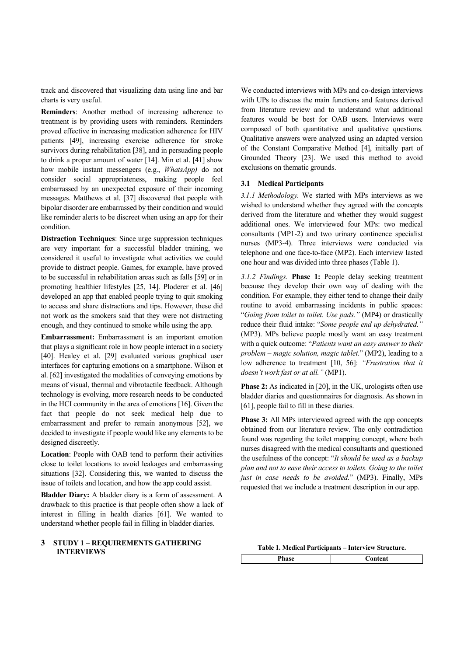track and discovered that visualizing data using line and bar charts is very useful.

**Reminders**: Another method of increasing adherence to treatment is by providing users with reminders. Reminders proved effective in increasing medication adherence for HIV patients [49], increasing exercise adherence for stroke survivors during rehabilitation [38], and in persuading people to drink a proper amount of water [14]. Min et al. [41] show how mobile instant messengers (e.g., *WhatsApp)* do not consider social appropriateness, making people feel embarrassed by an unexpected exposure of their incoming messages. Matthews et al. [37] discovered that people with bipolar disorder are embarrassed by their condition and would like reminder alerts to be discreet when using an app for their condition.

**Distraction Techniques**: Since urge suppression techniques are very important for a successful bladder training, we considered it useful to investigate what activities we could provide to distract people. Games, for example, have proved to be successful in rehabilitation areas such as falls [59] or in promoting healthier lifestyles [25, 14]. Ploderer et al. [46] developed an app that enabled people trying to quit smoking to access and share distractions and tips. However, these did not work as the smokers said that they were not distracting enough, and they continued to smoke while using the app.

**Embarrassment:** Embarrassment is an important emotion that plays a significant role in how people interact in a society [40]. Healey et al. [29] evaluated various graphical user interfaces for capturing emotions on a smartphone. Wilson et al. [62] investigated the modalities of conveying emotions by means of visual, thermal and vibrotactile feedback. Although technology is evolving, more research needs to be conducted in the HCI community in the area of emotions [16]. Given the fact that people do not seek medical help due to embarrassment and prefer to remain anonymous [52], we decided to investigate if people would like any elements to be designed discreetly.

**Location**: People with OAB tend to perform their activities close to toilet locations to avoid leakages and embarrassing situations [32]. Considering this, we wanted to discuss the issue of toilets and location, and how the app could assist.

**Bladder Diary:** A bladder diary is a form of assessment. A drawback to this practice is that people often show a lack of interest in filling in health diaries [61]. We wanted to understand whether people fail in filling in bladder diaries.

# **3 STUDY 1 – REQUIREMENTS GATHERING INTERVIEWS**

We conducted interviews with MPs and co-design interviews with UPs to discuss the main functions and features derived from literature review and to understand what additional features would be best for OAB users. Interviews were composed of both quantitative and qualitative questions. Qualitative answers were analyzed using an adapted version of the Constant Comparative Method [4], initially part of Grounded Theory [23]. We used this method to avoid exclusions on thematic grounds.

## **3.1 Medical Participants**

*3.1.1 Methodology.* We started with MPs interviews as we wished to understand whether they agreed with the concepts derived from the literature and whether they would suggest additional ones. We interviewed four MPs: two medical consultants (MP1-2) and two urinary continence specialist nurses (MP3-4). Three interviews were conducted via telephone and one face-to-face (MP2). Each interview lasted one hour and was divided into three phases (Table 1).

*3.1.2 Findings.* **Phase 1:** People delay seeking treatment because they develop their own way of dealing with the condition. For example, they either tend to change their daily routine to avoid embarrassing incidents in public spaces: "*Going from toilet to toilet. Use pads."* (MP4) or drastically reduce their fluid intake: "*Some people end up dehydrated."* (MP3). MPs believe people mostly want an easy treatment with a quick outcome: "*Patients want an easy answer to their problem – magic solution, magic tablet.*" (MP2), leading to a low adherence to treatment [10, 56]: *"Frustration that it doesn't work fast or at all."* (MP1).

**Phase 2:** As indicated in [20], in the UK, urologists often use bladder diaries and questionnaires for diagnosis. As shown in [61], people fail to fill in these diaries.

**Phase 3:** All MPs interviewed agreed with the app concepts obtained from our literature review. The only contradiction found was regarding the toilet mapping concept, where both nurses disagreed with the medical consultants and questioned the usefulness of the concept: "*It should be used as a backup plan and not to ease their access to toilets. Going to the toilet just in case needs to be avoided.*" (MP3). Finally, MPs requested that we include a treatment description in our app.

**Table 1. Medical Participants – Interview Structure.** 

| iase<br>------ | Content |  |  |  |
|----------------|---------|--|--|--|
|                |         |  |  |  |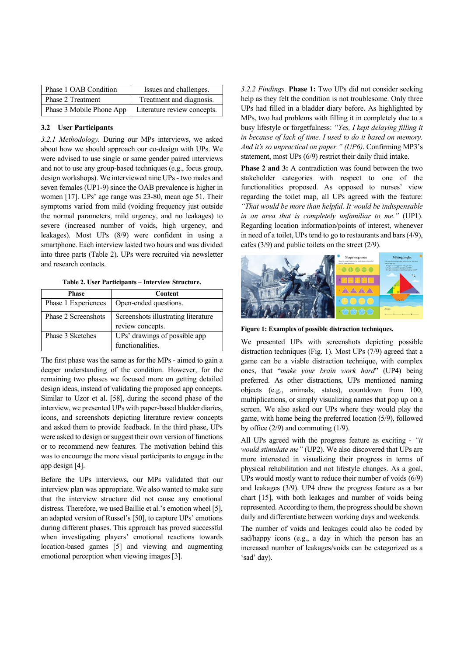| Phase 1 OAB Condition    | Issues and challenges.      |
|--------------------------|-----------------------------|
| Phase 2 Treatment        | Treatment and diagnosis.    |
| Phase 3 Mobile Phone App | Literature review concepts. |

# **3.2 User Participants**

*3.2.1 Methodology.* During our MPs interviews, we asked about how we should approach our co-design with UPs. We were advised to use single or same gender paired interviews and not to use any group-based techniques (e.g., focus group, design workshops). We interviewed nine UPs - two males and seven females (UP1-9) since the OAB prevalence is higher in women [17]. UPs' age range was 23-80, mean age 51. Their symptoms varied from mild (voiding frequency just outside the normal parameters, mild urgency, and no leakages) to severe (increased number of voids, high urgency, and leakages). Most UPs (8/9) were confident in using a smartphone. Each interview lasted two hours and was divided into three parts (Table 2). UPs were recruited via newsletter and research contacts.

**Table 2. User Participants – Interview Structure.** 

| <b>Phase</b>        | <b>Content</b>                      |  |  |
|---------------------|-------------------------------------|--|--|
| Phase 1 Experiences | Open-ended questions.               |  |  |
| Phase 2 Screenshots | Screenshots illustrating literature |  |  |
|                     | review concepts.                    |  |  |
| Phase 3 Sketches    | UPs' drawings of possible app       |  |  |
|                     | functionalities.                    |  |  |

The first phase was the same as for the MPs - aimed to gain a deeper understanding of the condition. However, for the remaining two phases we focused more on getting detailed design ideas, instead of validating the proposed app concepts. Similar to Uzor et al. [58], during the second phase of the interview, we presented UPs with paper-based bladder diaries, icons, and screenshots depicting literature review concepts and asked them to provide feedback. In the third phase, UPs were asked to design or suggest their own version of functions or to recommend new features. The motivation behind this was to encourage the more visual participants to engage in the app design [4].

Before the UPs interviews, our MPs validated that our interview plan was appropriate. We also wanted to make sure that the interview structure did not cause any emotional distress. Therefore, we used Baillie et al.'s emotion wheel [5], an adapted version of Russel's [50], to capture UPs' emotions during different phases. This approach has proved successful when investigating players' emotional reactions towards location-based games [5] and viewing and augmenting emotional perception when viewing images [3].

*3.2.2 Findings.* **Phase 1:** Two UPs did not consider seeking help as they felt the condition is not troublesome. Only three UPs had filled in a bladder diary before. As highlighted by MPs, two had problems with filling it in completely due to a busy lifestyle or forgetfulness: *"Yes, I kept delaying filling it in because of lack of time. I used to do it based on memory. And it's so unpractical on paper." (UP6)*. Confirming MP3's statement, most UPs (6/9) restrict their daily fluid intake.

**Phase 2 and 3:** A contradiction was found between the two stakeholder categories with respect to one of the functionalities proposed. As opposed to nurses' view regarding the toilet map, all UPs agreed with the feature: *"That would be more than helpful. It would be indispensable in an area that is completely unfamiliar to me."* (UP1). Regarding location information/points of interest, whenever in need of a toilet, UPs tend to go to restaurants and bars (4/9), cafes (3/9) and public toilets on the street (2/9).



**Figure 1: Examples of possible distraction techniques.** 

We presented UPs with screenshots depicting possible distraction techniques (Fig. 1). Most UPs (7/9) agreed that a game can be a viable distraction technique, with complex ones, that "*make your brain work hard*" (UP4) being preferred. As other distractions, UPs mentioned naming objects (e.g., animals, states), countdown from 100, multiplications, or simply visualizing names that pop up on a screen. We also asked our UPs where they would play the game, with home being the preferred location (5/9), followed by office  $(2/9)$  and commuting  $(1/9)$ .

All UPs agreed with the progress feature as exciting - *"it would stimulate me"* (UP2). We also discovered that UPs are more interested in visualizing their progress in terms of physical rehabilitation and not lifestyle changes. As a goal, UPs would mostly want to reduce their number of voids (6/9) and leakages (3/9). UP4 drew the progress feature as a bar chart [15], with both leakages and number of voids being represented. According to them, the progress should be shown daily and differentiate between working days and weekends.

The number of voids and leakages could also be coded by sad/happy icons (e.g., a day in which the person has an increased number of leakages/voids can be categorized as a 'sad' day).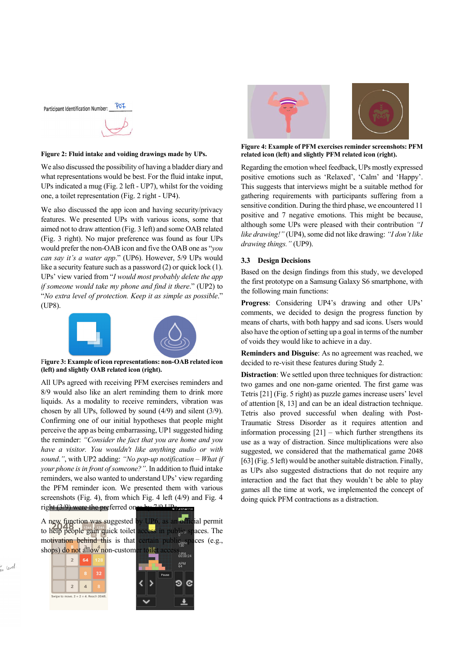

#### **Figure 2: Fluid intake and voiding drawings made by UPs.**

We also discussed the possibility of having a bladder diary and what representations would be best. For the fluid intake input, UPs indicated a mug (Fig. 2 left - UP7), whilst for the voiding one, a toilet representation (Fig. 2 right - UP4).

We also discussed the app icon and having security/privacy features. We presented UPs with various icons, some that aimed not to draw attention (Fig. 3 left) and some OAB related (Fig. 3 right). No major preference was found as four UPs would prefer the non-OAB icon and five the OAB one as "*you can say it's a water app*." (UP6). However, 5/9 UPs would like a security feature such as a password (2) or quick lock (1). UPs' view varied from "*I would most probably delete the app if someone would take my phone and find it there*." (UP2) to "*No extra level of protection. Keep it as simple as possible*." (UP8).



F**igure 3: Example of icon representations: non-OAB related icon (left) and slightly OAB related icon (right).**

All UPs agreed with receiving PFM exercises reminders and 8/9 would also like an alert reminding them to drink more liquids. As a modality to receive reminders, vibration was chosen by all UPs, followed by sound (4/9) and silent (3/9). Confirming one of our initial hypotheses that people might perceive the app as being embarrassing, UP1 suggested hiding the reminder: *"Consider the fact that you are home and you have a visitor. You wouldn't like anything audio or with sound*.*"*, with UP2 adding: *"No pop-up notification – What if your phone is in front of someone?"*. In addition to fluid intake reminders, we also wanted to understand UPs' view regarding the PFM reminder icon. We presented them with various screenshots (Fig. 4), from which Fig. 4 left (4/9) and Fig. 4 right  $(3/9)$  were the preferred ones by  $7/9$  UPs.

A new function was suggested by UP6, as an official permit to help people gain quick toilet access in public spaces. The motivation behind this is that certain public spaces (e.g., motivation behind this is that certain public spaces (e.g.,

 $\overline{2}$ 

 $\overline{2}$ 



APM



**Figure 4: Example of PFM exercises reminder screenshots: PFM related icon (left) and slightly PFM related icon (right).**

Regarding the emotion wheel feedback, UPs mostly expressed positive emotions such as 'Relaxed', 'Calm' and 'Happy'. This suggests that interviews might be a suitable method for gathering requirements with participants suffering from a sensitive condition. During the third phase, we encountered 11 positive and 7 negative emotions. This might be because, although some UPs were pleased with their contribution *"I like drawing!"* (UP4), some did not like drawing: *"I don't like drawing things."* (UP9).

# **3.3 Design Decisions**

Based on the design findings from this study, we developed the first prototype on a Samsung Galaxy S6 smartphone, with the following main functions:

**Progress**: Considering UP4's drawing and other UPs' comments, we decided to design the progress function by means of charts, with both happy and sad icons. Users would also have the option of setting up a goal in terms of the number of voids they would like to achieve in a day.

**Reminders and Disguise**: As no agreement was reached, we decided to re-visit these features during Study 2.

**Distraction**: We settled upon three techniques for distraction: two games and one non-game oriented. The first game was Tetris [21] (Fig. 5 right) as puzzle games increase users' level of attention [8, 13] and can be an ideal distraction technique. Tetris also proved successful when dealing with Post-Traumatic Stress Disorder as it requires attention and information processing [21] – which further strengthens its use as a way of distraction. Since multiplications were also suggested, we considered that the mathematical game 2048 [63] (Fig. 5 left) would be another suitable distraction. Finally, as UPs also suggested distractions that do not require any interaction and the fact that they wouldn't be able to play games all the time at work, we implemented the concept of doing quick PFM contractions as a distraction.

ir <sub>level</sub>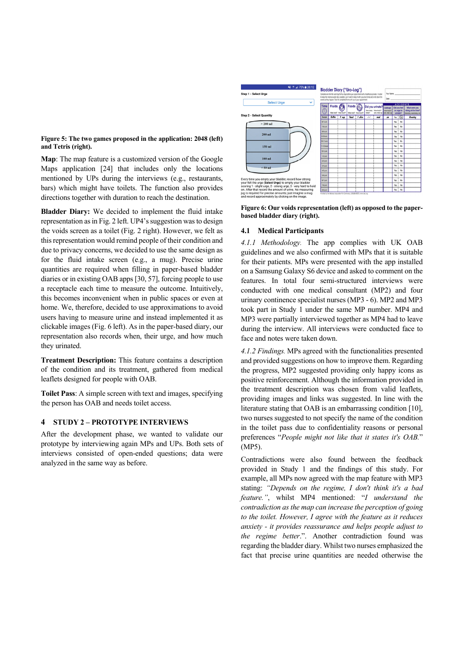#### **Figure 5: The two games proposed in the application: 2048 (left) and Tetris (right).**

**Map**: The map feature is a customized version of the Google Maps application [24] that includes only the locations mentioned by UPs during the interviews (e.g., restaurants, bars) which might have toilets. The function also provides directions together with duration to reach the destination.

**Bladder Diary:** We decided to implement the fluid intake representation as in Fig. 2 left. UP4's suggestion was to design the voids screen as a toilet (Fig. 2 right). However, we felt as this representation would remind people of their condition and due to privacy concerns, we decided to use the same design as for the fluid intake screen (e.g., a mug). Precise urine quantities are required when filling in paper-based bladder diaries or in existing OAB apps [30, 57], forcing people to use a receptacle each time to measure the outcome. Intuitively, this becomes inconvenient when in public spaces or even at home. We, therefore, decided to use approximations to avoid users having to measure urine and instead implemented it as clickable images (Fig. 6 left). As in the paper-based diary, our representation also records when, their urge, and how much they urinated.

**Treatment Description:** This feature contains a description of the condition and its treatment, gathered from medical leaflets designed for people with OAB.

**Toilet Pass**: A simple screen with text and images, specifying the person has OAB and needs toilet access.

## **4 STUDY 2 – PROTOTYPE INTERVIEWS**

After the development phase, we wanted to validate our prototype by interviewing again MPs and UPs. Both sets of interviews consisted of open-ended questions; data were analyzed in the same way as before.



**Figure 6: Our voids representation (left) as opposed to the paperbased bladder diary (right).**

## **4.1 Medical Participants**

*4.1.1 Methodology.* The app complies with UK OAB guidelines and we also confirmed with MPs that it is suitable for their patients. MPs were presented with the app installed on a Samsung Galaxy S6 device and asked to comment on the features. In total four semi-structured interviews were conducted with one medical consultant (MP2) and four urinary continence specialist nurses (MP3 - 6). MP2 and MP3 took part in Study 1 under the same MP number. MP4 and MP3 were partially interviewed together as MP4 had to leave during the interview. All interviews were conducted face to face and notes were taken down.

*4.1.2 Findings.* MPs agreed with the functionalities presented and provided suggestions on how to improve them. Regarding the progress, MP2 suggested providing only happy icons as positive reinforcement. Although the information provided in the treatment description was chosen from valid leaflets, providing images and links was suggested. In line with the literature stating that OAB is an embarrassing condition [10], two nurses suggested to not specify the name of the condition in the toilet pass due to confidentiality reasons or personal preferences "*People might not like that it states it's OAB.*" (MP5).

Contradictions were also found between the feedback provided in Study 1 and the findings of this study. For example, all MPs now agreed with the map feature with MP3 stating: *"Depends on the regime, I don't think it's a bad feature."*, whilst MP4 mentioned: "*I understand the contradiction as the map can increase the perception of going to the toilet. However, I agree with the feature as it reduces anxiety - it provides reassurance and helps people adjust to the regime better*.". Another contradiction found was regarding the bladder diary. Whilst two nurses emphasized the fact that precise urine quantities are needed otherwise the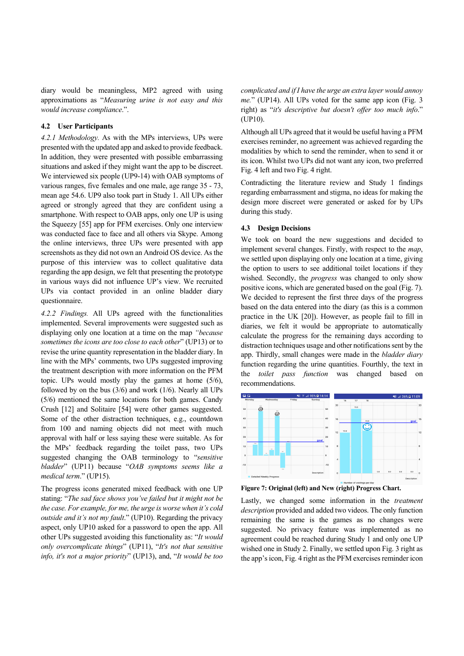diary would be meaningless, MP2 agreed with using approximations as "*Measuring urine is not easy and this would increase compliance*.".

## **4.2 User Participants**

*4.2.1 Methodology.* As with the MPs interviews, UPs were presented with the updated app and asked to provide feedback. In addition, they were presented with possible embarrassing situations and asked if they might want the app to be discreet. We interviewed six people (UP9-14) with OAB symptoms of various ranges, five females and one male, age range 35 - 73, mean age 54.6. UP9 also took part in Study 1. All UPs either agreed or strongly agreed that they are confident using a smartphone. With respect to OAB apps, only one UP is using the Squeezy [55] app for PFM exercises. Only one interview was conducted face to face and all others via Skype. Among the online interviews, three UPs were presented with app screenshots as they did not own an Android OS device. As the purpose of this interview was to collect qualitative data regarding the app design, we felt that presenting the prototype in various ways did not influence UP's view. We recruited UPs via contact provided in an online bladder diary questionnaire.

*4.2.2 Findings.* All UPs agreed with the functionalities implemented. Several improvements were suggested such as displaying only one location at a time on the map *"because sometimes the icons are too close to each other*" (UP13) or to revise the urine quantity representation in the bladder diary. In line with the MPs' comments, two UPs suggested improving the treatment description with more information on the PFM topic. UPs would mostly play the games at home (5/6), followed by on the bus (3/6) and work (1/6). Nearly all UPs (5/6) mentioned the same locations for both games. Candy Crush [12] and Solitaire [54] were other games suggested. Some of the other distraction techniques, e.g., countdown from 100 and naming objects did not meet with much approval with half or less saying these were suitable. As for the MPs' feedback regarding the toilet pass, two UPs suggested changing the OAB terminology to "*sensitive bladder*" (UP11) because "*OAB symptoms seems like a medical term*." (UP15).

The progress icons generated mixed feedback with one UP stating: "*The sad face shows you've failed but it might not be the case. For example, for me, the urge is worse when it's cold outside and it's not my fault*." (UP10). Regarding the privacy aspect, only UP10 asked for a password to open the app. All other UPs suggested avoiding this functionality as: "*It would only overcomplicate things*" (UP11), "*It's not that sensitive info, it's not a major priority*" (UP13), and, "*It would be too* 

*complicated and if I have the urge an extra layer would annoy me.*" (UP14). All UPs voted for the same app icon (Fig. 3 right) as "*it's descriptive but doesn't offer too much info*." (UP10).

Although all UPs agreed that it would be useful having a PFM exercises reminder, no agreement was achieved regarding the modalities by which to send the reminder, when to send it or its icon. Whilst two UPs did not want any icon, two preferred Fig. 4 left and two Fig. 4 right.

Contradicting the literature review and Study 1 findings regarding embarrassment and stigma, no ideas for making the design more discreet were generated or asked for by UPs during this study.

#### **4.3 Design Decisions**

We took on board the new suggestions and decided to implement several changes. Firstly, with respect to the *map*, we settled upon displaying only one location at a time, giving the option to users to see additional toilet locations if they wished. Secondly, the *progress* was changed to only show positive icons, which are generated based on the goal (Fig. 7). We decided to represent the first three days of the progress based on the data entered into the diary (as this is a common practice in the UK [20]). However, as people fail to fill in diaries, we felt it would be appropriate to automatically calculate the progress for the remaining days according to distraction techniques usage and other notifications sent by the app. Thirdly, small changes were made in the *bladder diary* function regarding the urine quantities. Fourthly, the text in the *toilet pass function* was changed based on recommendations.



**Figure 7: Original (left) and New (right) Progress Chart.** 

Lastly, we changed some information in the *treatment description* provided and added two videos. The only function remaining the same is the games as no changes were suggested. No privacy feature was implemented as no agreement could be reached during Study 1 and only one UP wished one in Study 2. Finally, we settled upon Fig. 3 right as the app's icon, Fig. 4 right as the PFM exercises reminder icon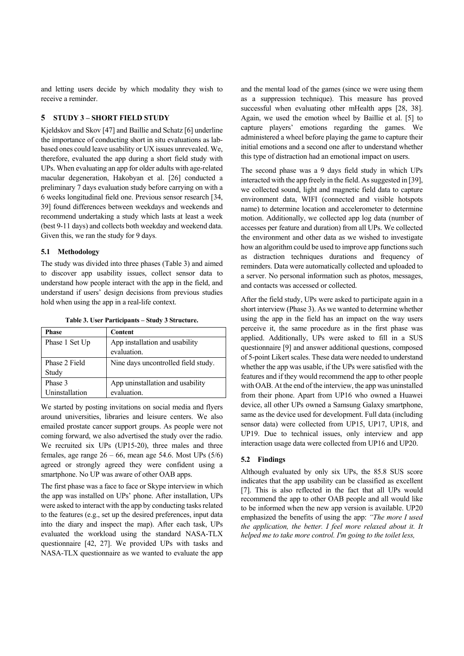and letting users decide by which modality they wish to receive a reminder.

# **5 STUDY 3 – SHORT FIELD STUDY**

Kjeldskov and Skov [47] and Baillie and Schatz [6] underline the importance of conducting short in situ evaluations as labbased ones could leave usability or UX issues unrevealed. We, therefore, evaluated the app during a short field study with UPs. When evaluating an app for older adults with age-related macular degeneration, Hakobyan et al. [26] conducted a preliminary 7 days evaluation study before carrying on with a 6 weeks longitudinal field one. Previous sensor research [34, 39] found differences between weekdays and weekends and recommend undertaking a study which lasts at least a week (best 9-11 days) and collects both weekday and weekend data. Given this, we ran the study for 9 days.

## **5.1 Methodology**

The study was divided into three phases (Table 3) and aimed to discover app usability issues, collect sensor data to understand how people interact with the app in the field, and understand if users' design decisions from previous studies hold when using the app in a real-life context.

**Table 3. User Participants – Study 3 Structure.** 

| <b>Phase</b>   | <b>Content</b>                      |
|----------------|-------------------------------------|
| Phase 1 Set Up | App installation and usability      |
|                | evaluation.                         |
| Phase 2 Field  | Nine days uncontrolled field study. |
| Study          |                                     |
| Phase 3        | App uninstallation and usability    |
| Uninstallation | evaluation.                         |

We started by posting invitations on social media and flyers around universities, libraries and leisure centers. We also emailed prostate cancer support groups. As people were not coming forward, we also advertised the study over the radio. We recruited six UPs (UP15-20), three males and three females, age range  $26 - 66$ , mean age 54.6. Most UPs  $(5/6)$ agreed or strongly agreed they were confident using a smartphone. No UP was aware of other OAB apps.

The first phase was a face to face or Skype interview in which the app was installed on UPs' phone. After installation, UPs were asked to interact with the app by conducting tasks related to the features (e.g., set up the desired preferences, input data into the diary and inspect the map). After each task, UPs evaluated the workload using the standard NASA-TLX questionnaire [42, 27]. We provided UPs with tasks and NASA-TLX questionnaire as we wanted to evaluate the app

and the mental load of the games (since we were using them as a suppression technique). This measure has proved successful when evaluating other mHealth apps [28, 38]. Again, we used the emotion wheel by Baillie et al. [5] to capture players' emotions regarding the games. We administered a wheel before playing the game to capture their initial emotions and a second one after to understand whether this type of distraction had an emotional impact on users.

The second phase was a 9 days field study in which UPs interacted with the app freely in the field. As suggested in [39], we collected sound, light and magnetic field data to capture environment data, WIFI (connected and visible hotspots name) to determine location and accelerometer to determine motion. Additionally, we collected app log data (number of accesses per feature and duration) from all UPs. We collected the environment and other data as we wished to investigate how an algorithm could be used to improve app functions such as distraction techniques durations and frequency of reminders. Data were automatically collected and uploaded to a server. No personal information such as photos, messages, and contacts was accessed or collected.

After the field study, UPs were asked to participate again in a short interview (Phase 3). As we wanted to determine whether using the app in the field has an impact on the way users perceive it, the same procedure as in the first phase was applied. Additionally, UPs were asked to fill in a SUS questionnaire [9] and answer additional questions, composed of 5-point Likert scales. These data were needed to understand whether the app was usable, if the UPs were satisfied with the features and if they would recommend the app to other people with OAB. At the end of the interview, the app was uninstalled from their phone. Apart from UP16 who owned a Huawei device, all other UPs owned a Samsung Galaxy smartphone, same as the device used for development. Full data (including sensor data) were collected from UP15, UP17, UP18, and UP19. Due to technical issues, only interview and app interaction usage data were collected from UP16 and UP20.

# **5.2 Findings**

Although evaluated by only six UPs, the 85.8 SUS score indicates that the app usability can be classified as excellent [7]. This is also reflected in the fact that all UPs would recommend the app to other OAB people and all would like to be informed when the new app version is available. UP20 emphasized the benefits of using the app: *"The more I used the application, the better. I feel more relaxed about it. It helped me to take more control. I'm going to the toilet less,*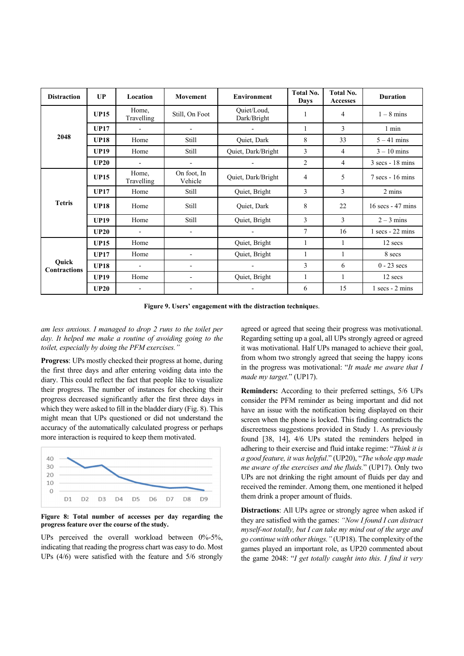| <b>Distraction</b>           | UP          | Location                 | <b>Movement</b>          | <b>Environment</b>         | <b>Total No.</b><br><b>Days</b> | <b>Total No.</b><br><b>Accesses</b> | <b>Duration</b>                    |
|------------------------------|-------------|--------------------------|--------------------------|----------------------------|---------------------------------|-------------------------------------|------------------------------------|
| 2048                         | <b>UP15</b> | Home,<br>Travelling      | Still, On Foot           | Quiet/Loud,<br>Dark/Bright | 1                               | $\overline{4}$                      | $1 - 8$ mins                       |
|                              | <b>UP17</b> | $\overline{a}$           | $\overline{a}$           |                            | 1                               | 3                                   | $1$ min                            |
|                              | <b>UP18</b> | Home                     | Still                    | Quiet, Dark                | 8                               | 33                                  | $5 - 41$ mins                      |
|                              | <b>UP19</b> | Home                     | Still                    | Quiet, Dark/Bright         | 3                               | 4                                   | $3 - 10$ mins                      |
|                              | UP20        | $\overline{a}$           | $\overline{\phantom{a}}$ |                            | 2                               | $\overline{4}$                      | $3 \text{ secs} - 18 \text{ mins}$ |
| <b>Tetris</b>                | <b>UP15</b> | Home,<br>Travelling      | On foot, In<br>Vehicle   | Quiet, Dark/Bright         | 4                               | 5                                   | $7$ secs - 16 mins                 |
|                              | <b>UP17</b> | Home                     | Still                    | Quiet, Bright              | 3                               | 3                                   | 2 mins                             |
|                              | <b>UP18</b> | Home                     | Still                    | Quiet, Dark                | 8                               | 22                                  | 16 secs - 47 mins                  |
|                              | <b>UP19</b> | Home                     | Still                    | Quiet, Bright              | 3                               | 3                                   | $2 - 3$ mins                       |
|                              | <b>UP20</b> | $\overline{a}$           | $\blacksquare$           |                            | 7                               | 16                                  | $1$ secs - 22 mins                 |
| Quick<br><b>Contractions</b> | <b>UP15</b> | Home                     |                          | Quiet, Bright              | 1                               | 1                                   | 12 secs                            |
|                              | <b>UP17</b> | Home                     | $\overline{\phantom{0}}$ | Quiet, Bright              | $\mathbf{1}$                    | 1                                   | 8 secs                             |
|                              | <b>UP18</b> | $\overline{\phantom{a}}$ | $\overline{\phantom{0}}$ | $\overline{\phantom{a}}$   | 3                               | 6                                   | $0 - 23$ secs                      |
|                              | <b>UP19</b> | Home                     | $\overline{\phantom{a}}$ | Quiet, Bright              | 1                               | 1                                   | 12 secs                            |
|                              | UP20        | $\overline{\phantom{a}}$ | $\overline{\phantom{a}}$ |                            | 6                               | 15                                  | $1$ secs - $2$ mins                |

**Figure 9. Users' engagement with the distraction technique**s.

*am less anxious. I managed to drop 2 runs to the toilet per day. It helped me make a routine of avoiding going to the toilet, especially by doing the PFM exercises."* 

**Progress**: UPs mostly checked their progress at home, during the first three days and after entering voiding data into the diary. This could reflect the fact that people like to visualize their progress. The number of instances for checking their progress decreased significantly after the first three days in which they were asked to fill in the bladder diary (Fig. 8). This might mean that UPs questioned or did not understand the accuracy of the automatically calculated progress or perhaps more interaction is required to keep them motivated.



**Figure 8: Total number of accesses per day regarding the progress feature over the course of the study.**

UPs perceived the overall workload between  $0\%$ -5%, indicating that reading the progress chart was easy to do. Most UPs (4/6) were satisfied with the feature and 5/6 strongly

agreed or agreed that seeing their progress was motivational. Regarding setting up a goal, all UPs strongly agreed or agreed it was motivational. Half UPs managed to achieve their goal, from whom two strongly agreed that seeing the happy icons in the progress was motivational: "*It made me aware that I made my target.*" (UP17).

**Reminders:** According to their preferred settings, 5/6 UPs consider the PFM reminder as being important and did not have an issue with the notification being displayed on their screen when the phone is locked. This finding contradicts the discreetness suggestions provided in Study 1. As previously found [38, 14], 4/6 UPs stated the reminders helped in adhering to their exercise and fluid intake regime: "*Think it is a good feature, it was helpful*." (UP20), "*The whole app made me aware of the exercises and the fluids.*" (UP17). Only two UPs are not drinking the right amount of fluids per day and received the reminder. Among them, one mentioned it helped them drink a proper amount of fluids.

**Distractions**: All UPs agree or strongly agree when asked if they are satisfied with the games: *"Now I found I can distract myself-not totally, but I can take my mind out of the urge and go continue with other things."* (UP18). The complexity of the games played an important role, as UP20 commented about the game 2048: "*I get totally caught into this. I find it very*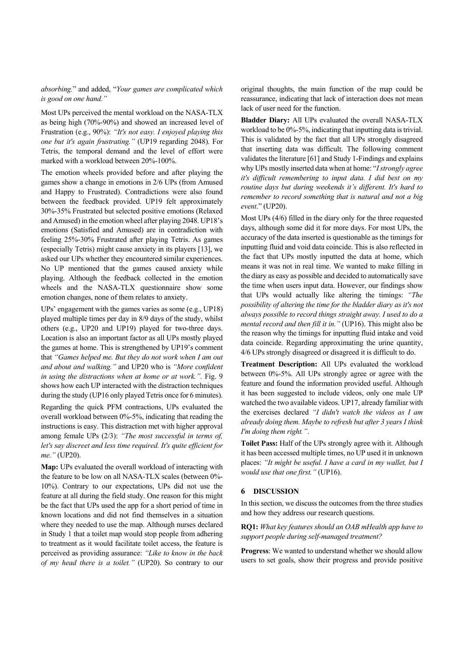*absorbing.*" and added, "*Your games are complicated which is good on one hand."*

Most UPs perceived the mental workload on the NASA-TLX as being high (70%-90%) and showed an increased level of Frustration (e.g., 90%): *"It's not easy. I enjoyed playing this one but it's again frustrating."* (UP19 regarding 2048). For Tetris, the temporal demand and the level of effort were marked with a workload between 20%-100%.

The emotion wheels provided before and after playing the games show a change in emotions in 2/6 UPs (from Amused and Happy to Frustrated). Contradictions were also found between the feedback provided. UP19 felt approximately 30%-35% Frustrated but selected positive emotions (Relaxed and Amused) in the emotion wheel after playing 2048. UP18's emotions (Satisfied and Amused) are in contradiction with feeling 25%-30% Frustrated after playing Tetris. As games (especially Tetris) might cause anxiety in its players [13], we asked our UPs whether they encountered similar experiences. No UP mentioned that the games caused anxiety while playing. Although the feedback collected in the emotion wheels and the NASA-TLX questionnaire show some emotion changes, none of them relates to anxiety.

UPs' engagement with the games varies as some (e.g., UP18) played multiple times per day in 8/9 days of the study, whilst others (e.g., UP20 and UP19) played for two-three days. Location is also an important factor as all UPs mostly played the games at home. This is strengthened by UP19's comment that *"Games helped me. But they do not work when I am out and about and walking."* and UP20 who is *"More confident in using the distractions when at home or at work.".* Fig. 9 shows how each UP interacted with the distraction techniques during the study (UP16 only played Tetris once for 6 minutes).

Regarding the quick PFM contractions, UPs evaluated the overall workload between 0%-5%, indicating that reading the instructions is easy. This distraction met with higher approval among female UPs (2/3): *"The most successful in terms of, let's say discreet and less time required. It's quite efficient for me."* (UP20).

**Map:** UPs evaluated the overall workload of interacting with the feature to be low on all NASA-TLX scales (between 0%- 10%). Contrary to our expectations, UPs did not use the feature at all during the field study. One reason for this might be the fact that UPs used the app for a short period of time in known locations and did not find themselves in a situation where they needed to use the map. Although nurses declared in Study 1 that a toilet map would stop people from adhering to treatment as it would facilitate toilet access, the feature is perceived as providing assurance: *"Like to know in the back of my head there is a toilet."* (UP20). So contrary to our original thoughts, the main function of the map could be reassurance, indicating that lack of interaction does not mean lack of user need for the function.

**Bladder Diary:** All UPs evaluated the overall NASA-TLX workload to be 0%-5%, indicating that inputting data is trivial. This is validated by the fact that all UPs strongly disagreed that inserting data was difficult. The following comment validates the literature [61] and Study 1-Findings and explains why UPs mostly inserted data when at home: "*I strongly agree it's difficult remembering to input data. I did best on my routine days but during weekends it's different. It's hard to remember to record something that is natural and not a big event*." (UP20).

Most UPs (4/6) filled in the diary only for the three requested days, although some did it for more days. For most UPs, the accuracy of the data inserted is questionable as the timings for inputting fluid and void data coincide. This is also reflected in the fact that UPs mostly inputted the data at home, which means it was not in real time. We wanted to make filling in the diary as easy as possible and decided to automatically save the time when users input data. However, our findings show that UPs would actually like altering the timings: *"The possibility of altering the time for the bladder diary as it's not always possible to record things straight away. I used to do a mental record and then fill it in."* (UP16). This might also be the reason why the timings for inputting fluid intake and void data coincide. Regarding approximating the urine quantity, 4/6 UPs strongly disagreed or disagreed it is difficult to do.

**Treatment Description:** All UPs evaluated the workload between 0%-5%. All UPs strongly agree or agree with the feature and found the information provided useful. Although it has been suggested to include videos, only one male UP watched the two available videos. UP17, already familiar with the exercises declared *"I didn't watch the videos as I am already doing them. Maybe to refresh but after 3 years I think I'm doing them right."*.

**Toilet Pass:** Half of the UPs strongly agree with it. Although it has been accessed multiple times, no UP used it in unknown places: *"It might be useful. I have a card in my wallet, but I would use that one first."* (UP16).

## **6 DISCUSSION**

In this section, we discuss the outcomes from the three studies and how they address our research questions.

**RQ1:** *What key features should an OAB mHealth app have to support people during self-managed treatment?* 

**Progress**: We wanted to understand whether we should allow users to set goals, show their progress and provide positive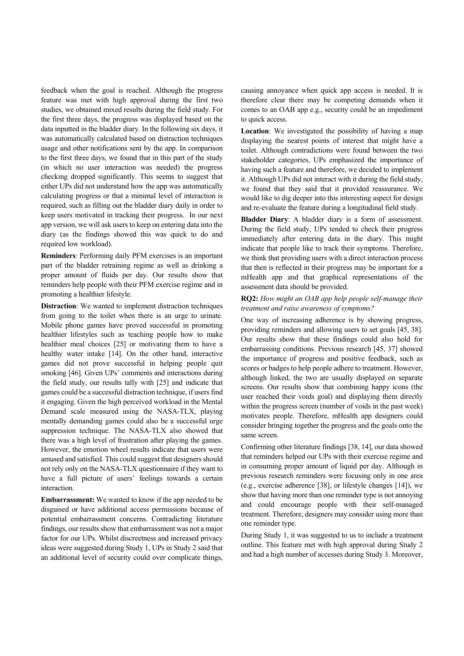feedback when the goal is reached. Although the progress feature was met with high approval during the first two studies, we obtained mixed results during the field study. For the first three days, the progress was displayed based on the data inputted in the bladder diary. In the following six days, it was automatically calculated based on distraction techniques usage and other notifications sent by the app. In comparison to the first three days, we found that in this part of the study (in which no user interaction was needed) the progress checking dropped significantly. This seems to suggest that either UPs did not understand how the app was automatically calculating progress or that a minimal level of interaction is required, such as filling out the bladder diary daily in order to keep users motivated in tracking their progress. In our next app version, we will ask users to keep on entering data into the diary (as the findings showed this was quick to do and required low workload).

**Reminders**: Performing daily PFM exercises is an important part of the bladder retraining regime as well as drinking a proper amount of fluids per day. Our results show that reminders help people with their PFM exercise regime and in promoting a healthier lifestyle.

**Distraction**: We wanted to implement distraction techniques from going to the toilet when there is an urge to urinate. Mobile phone games have proved successful in promoting healthier lifestyles such as teaching people how to make healthier meal choices [25] or motivating them to have a healthy water intake [14]. On the other hand, interactive games did not prove successful in helping people quit smoking [46]. Given UPs' comments and interactions during the field study, our results tally with [25] and indicate that games could be a successful distraction technique, if users find it engaging. Given the high perceived workload in the Mental Demand scale measured using the NASA-TLX, playing mentally demanding games could also be a successful urge suppression technique. The NASA-TLX also showed that there was a high level of frustration after playing the games. However, the emotion wheel results indicate that users were amused and satisfied. This could suggest that designers should not rely only on the NASA-TLX questionnaire if they want to have a full picture of users' feelings towards a certain interaction.

**Embarrassment:** We wanted to know if the app needed to be disguised or have additional access permissions because of potential embarrassment concerns. Contradicting literature findings, our results show that embarrassment was not a major factor for our UPs. Whilst discreetness and increased privacy ideas were suggested during Study 1, UPs in Study 2 said that an additional level of security could over complicate things,

causing annoyance when quick app access is needed. It is therefore clear there may be competing demands when it comes to an OAB app e.g., security could be an impediment to quick access.

**Location**: We investigated the possibility of having a map displaying the nearest points of interest that might have a toilet. Although contradictions were found between the two stakeholder categories, UPs emphasized the importance of having such a feature and therefore, we decided to implement it. Although UPs did not interact with it during the field study, we found that they said that it provided reassurance. We would like to dig deeper into this interesting aspect for design and re-evaluate the feature during a longitudinal field study.

**Bladder Diary**: A bladder diary is a form of assessment. During the field study, UPs tended to check their progress immediately after entering data in the diary. This might indicate that people like to track their symptoms. Therefore, we think that providing users with a direct interaction process that then is reflected in their progress may be important for a mHealth app and that graphical representations of the assessment data should be provided.

# **RQ2:** *How might an OAB app help people self-manage their treatment and raise awareness of symptoms?*

One way of increasing adherence is by showing progress, providing reminders and allowing users to set goals [45, 38]. Our results show that these findings could also hold for embarrassing conditions. Previous research [45, 37] showed the importance of progress and positive feedback, such as scores or badges to help people adhere to treatment. However, although linked, the two are usually displayed on separate screens. Our results show that combining happy icons (the user reached their voids goal) and displaying them directly within the progress screen (number of voids in the past week) motivates people. Therefore, mHealth app designers could consider bringing together the progress and the goals onto the same screen.

Confirming other literature findings [38, 14], our data showed that reminders helped our UPs with their exercise regime and in consuming proper amount of liquid per day. Although in previous research reminders were focusing only in one area (e.g., exercise adherence [38], or lifestyle changes [14]), we show that having more than one reminder type is not annoying and could encourage people with their self-managed treatment. Therefore, designers may consider using more than one reminder type.

During Study 1, it was suggested to us to include a treatment outline. This feature met with high approval during Study 2 and had a high number of accesses during Study 3. Moreover,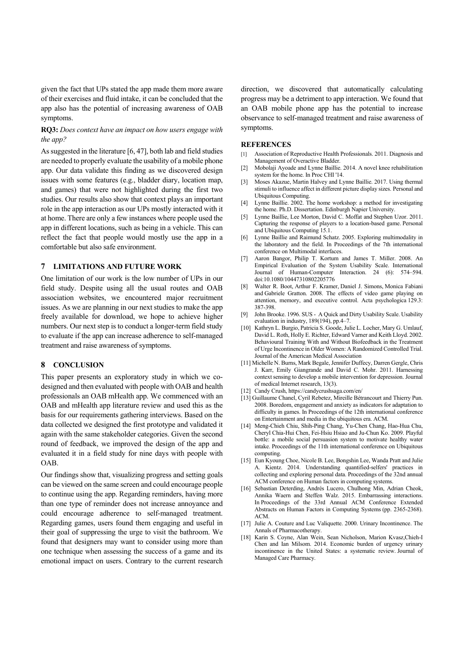given the fact that UPs stated the app made them more aware of their exercises and fluid intake, it can be concluded that the app also has the potential of increasing awareness of OAB symptoms.

**RQ3:** *Does context have an impact on how users engage with the app?* 

As suggested in the literature [6, 47], both lab and field studies are needed to properly evaluate the usability of a mobile phone app. Our data validate this finding as we discovered design issues with some features (e.g., bladder diary, location map, and games) that were not highlighted during the first two studies. Our results also show that context plays an important role in the app interaction as our UPs mostly interacted with it at home. There are only a few instances where people used the app in different locations, such as being in a vehicle. This can reflect the fact that people would mostly use the app in a comfortable but also safe environment.

#### **7 LIMITATIONS AND FUTURE WORK**

One limitation of our work is the low number of UPs in our field study. Despite using all the usual routes and OAB association websites, we encountered major recruitment issues. As we are planning in our next studies to make the app freely available for download, we hope to achieve higher numbers. Our next step is to conduct a longer-term field study to evaluate if the app can increase adherence to self-managed treatment and raise awareness of symptoms.

#### **8 CONCLUSION**

This paper presents an exploratory study in which we codesigned and then evaluated with people with OAB and health professionals an OAB mHealth app. We commenced with an OAB and mHealth app literature review and used this as the basis for our requirements gathering interviews. Based on the data collected we designed the first prototype and validated it again with the same stakeholder categories. Given the second round of feedback, we improved the design of the app and evaluated it in a field study for nine days with people with OAB.

Our findings show that, visualizing progress and setting goals can be viewed on the same screen and could encourage people to continue using the app. Regarding reminders, having more than one type of reminder does not increase annoyance and could encourage adherence to self-managed treatment. Regarding games, users found them engaging and useful in their goal of suppressing the urge to visit the bathroom. We found that designers may want to consider using more than one technique when assessing the success of a game and its emotional impact on users. Contrary to the current research

direction, we discovered that automatically calculating progress may be a detriment to app interaction. We found that an OAB mobile phone app has the potential to increase observance to self-managed treatment and raise awareness of symptoms.

#### **REFERENCES**

- [1] Association of Reproductive Health Professionals. 2011. Diagnosis and Management of Overactive Bladder.
- [2] Mobolaji Ayoade and Lynne Baillie. 2014. A novel knee rehabilitation system for the home. In Proc CHI '14.
- [3] Moses Akazue, Martin Halvey and Lynne Baillie. 2017. Using thermal stimuli to influence affect in different picture display sizes. Personal and Ubiquitous Computing.
- [4] Lynne Baillie. 2002. The home workshop: a method for investigating the home. Ph.D. Dissertation. Edinburgh Napier University.
- [5] Lynne Baillie, Lee Morton, David C. Moffat and Stephen Uzor. 2011. Capturing the response of players to a location-based game. Personal and Ubiquitous Computing 15.1.
- [6] Lynne Baillie and Raimund Schatz. 2005. Exploring multimodality in the laboratory and the field. In Proceedings of the 7th international conference on Multimodal interfaces.
- [7] Aaron Bangor, Philip T. Kortum and James T. Miller. 2008. An Empirical Evaluation of the System Usability Scale. International Journal of Human-Computer Interaction. 24 (6): 574–594. doi:10.1080/10447310802205776
- [8] Walter R. Boot, Arthur F. Kramer, Daniel J. Simons, Monica Fabiani and Gabriele Gratton. 2008. The effects of video game playing on attention, memory, and executive control. Acta psychologica 129.3: 387-398.
- [9] John Brooke. 1996. SUS A Quick and Dirty Usability Scale. Usability evaluation in industry, 189(194), pp.4–7.
- [10] Kathryn L. Burgio, Patricia S. Goode, Julie L. Locher, Mary G. Umlauf, David L. Roth, Holly E. Richter, Edward Varner and Keith Lloyd. 2002. Behavioural Training With and Without Biofeedback in the Treatment of Urge Incontinence in Older Women: A Randomized Controlled Trial. Journal of the American Medical Association
- [11] Michelle N. Burns, Mark Begale, Jennifer Duffecy, Darren Gergle, Chris J. Karr, Emily Giangrande and David C. Mohr. 2011. Harnessing context sensing to develop a mobile intervention for depression. Journal of medical Internet research, 13(3).
- [12] Candy Crush, https://candycrushsaga.com/en/
- [13] Guillaume Chanel, Cyril Rebetez, Mireille Bétrancourt and Thierry Pun. 2008. Boredom, engagement and anxiety as indicators for adaptation to difficulty in games. In Proceedings of the 12th international conference on Entertainment and media in the ubiquitous era. ACM.
- [14] Meng-Chieh Chiu, Shih-Ping Chang, Yu-Chen Chang, Hao-Hua Chu, Cheryl Chia-Hui Chen, Fei-Hsiu Hsiao and Ju-Chun Ko. 2009. Playful bottle: a mobile social persuasion system to motivate healthy water intake. Proceedings of the 11th international conference on Ubiquitous computing.
- [15] Eun Kyoung Choe, Nicole B. Lee, Bongshin Lee, Wanda Pratt and Julie A. Kientz. 2014. Understanding quantified-selfers' practices in collecting and exploring personal data. Proceedings of the 32nd annual ACM conference on Human factors in computing systems.
- [16] Sebastian Deterding, Andrés Lucero, Chulhong Min, Adrian Cheok, Annika Waern and Steffen Walz. 2015. Embarrassing interactions. In Proceedings of the 33rd Annual ACM Conference Extended Abstracts on Human Factors in Computing Systems (pp. 2365-2368). ACM.
- [17] Julie A. Couture and Luc Valiquette. 2000. Urinary Incontinence. The Annals of Pharmacotherapy.
- [18] Karin S. Coyne, Alan Wein, Sean Nicholson, Marion Kvasz,Chieh-I Chen and Ian Milsom. 2014. Economic burden of urgency urinary incontinence in the United States: a systematic review. Journal of Managed Care Pharmacy.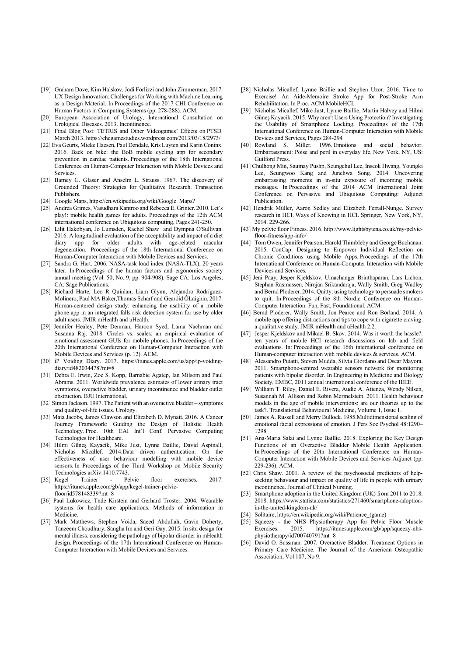- [19] Graham Dove, Kim Halskov, Jodi Forlizzi and John Zimmerman. 2017. UX Design Innovation: Challenges for Working with Machine Learning as a Design Material. In Proceedings of the 2017 CHI Conference on Human Factors in Computing Systems (pp. 278-288). ACM.
- [20] European Association of Urology, International Consultation on Urological Diseases. 2013. Incontinence.
- [21] Final Blog Post: TETRIS and Other Videogames' Effects on PTSD. March 2013. https://chcgamestudies.wordpress.com/2013/03/18/2973/
- [22] Eva Geurts, Mieke Haesen, Paul Dendale, Kris Luyten and Karin Coninx. 2016. Back on bike: the BoB mobile cycling app for secondary prevention in cardiac patients. Proceedings of the 18th International Conference on Human-Computer Interaction with Mobile Devices and Services.
- [23] Barney G. Glaser and Anselm L. Strauss. 1967. The discovery of Grounded Theory: Strategies for Qualitative Research. Transaction **Publishers**
- [24] Google Maps, https://en.wikipedia.org/wiki/Google\_Maps?
- [25] Andrea Grimes, Vasudhara Kantroo and Rebecca E. Grinter. 2010. Let's play!: mobile health games for adults. Proceedings of the 12th ACM international conference on Ubiquitous computing, Pages 241-250.
- [26] Lilit Hakobyan, Jo Lumsden, Rachel Shaw and Dympna O'Sullivan. 2016. A longitudinal evaluation of the acceptability and impact of a diet diary app for older adults with age-related macular degeneration. Proceedings of the 18th International Conference on Human-Computer Interaction with Mobile Devices and Services.
- [27] Sandra G. Hart. 2006. NASA-task load index (NASA-TLX); 20 years later. In Proceedings of the human factors and ergonomics society annual meeting (Vol. 50, No. 9, pp. 904-908). Sage CA: Los Angeles, CA: Sage Publications.
- [28] Richard Harte, Leo R Quinlan, Liam Glynn, Alejandro Rodríguez-Molinero, Paul MA Baker,Thomas Scharf and Gearóid ÓLaighin. 2017. Human-centered design study: enhancing the usability of a mobile phone app in an integrated falls risk detection system for use by older adult users. JMIR mHealth and uHealth.
- [29] Jennifer Healey, Pete Denman, Haroon Syed, Lama Nachman and Susanna Raj. 2018. Circles vs. scales: an empirical evaluation of emotional assessment GUIs for mobile phones. In Proceedings of the 20th International Conference on Human-Computer Interaction with Mobile Devices and Services (p. 12). ACM.
- [30] iP Voiding Diary. 2017. https://itunes.apple.com/us/app/ip-voidingdiary/id482034478?mt=8
- [31] Debra E. Irwin, Zoe S. Kopp, Barnabie Agatep, Ian Milsom and Paul Abrams. 2011. Worldwide prevalence estimates of lower urinary tract symptoms, overactive bladder, urinary incontinence and bladder outlet obstruction. BJU International.
- [32] Simon Jackson. 1997. The Patient with an overactive bladder symptoms and quality-of-life issues. Urology.
- [33] Maia Jacobs, James Clawson and Elizabeth D. Mynatt. 2016. A Cancer Journey Framework: Guiding the Design of Holistic Health Technology. Proc. 10th EAI Int'l Conf. Pervasive Computing Technologies for Healthcare.
- [34] Hilmi Güneş Kayacik, Mike Just, Lynne Baillie, David Aspinall, Nicholas Micallef. 2014.Data driven authentication: On the effectiveness of user behaviour modelling with mobile device sensors. In Proceedings of the Third Workshop on Mobile Security Technologies arXiv:1410.7743.
- [35] Kegel Trainer Pelvic floor exercises. 2017. https://itunes.apple.com/gb/app/kegel-trainer-pelvicfloor/id578148339?mt=8
- [36] Paul Lukowicz, Tnde Kirstein and Gerhard Troster. 2004. Wearable systems for health care applications. Methods of information in Medicine.
- [37] Mark Matthews, Stephen Voida, Saeed Abdullah, Gavin Doherty, Tanzeem Choudhury, Sangha Im and Geri Gay. 2015. In situ design for mental illness: considering the pathology of bipolar disorder in mHealth design. Proceedings of the 17th International Conference on Human-Computer Interaction with Mobile Devices and Services.
- [38] Nicholas Micallef, Lynne Baillie and Stephen Uzor. 2016. Time to Exercise! An Aide-Memoire Stroke App for Post-Stroke Arm Rehabilitation. In Proc. ACM MobileHCI.
- [39] Nicholas Micallef, Mike Just, Lynne Baillie, Martin Halvey and Hilmi Güneş Kayacik. 2015. Why aren't Users Using Protection? Investigating the Usability of Smartphone Locking. Proceedings of the 17th International Conference on Human-Computer Interaction with Mobile Devices and Services, Pages 284-294
- [40] Rowland S. Miller. 1996. Emotions and social behavior. Embarrassment: Poise and peril in everyday life. New York, NY, US: Guilford Press.
- [41] Chulhong Min, Saumay Pushp, Seungchul Lee, Inseok Hwang, Youngki Lee, Seungwoo Kang and Junehwa Song. 2014. Uncovering embarrassing moments in in-situ exposure of incoming mobile messages. In Proceedings of the 2014 ACM International Joint Conference on Pervasive and Ubiquitous Computing: Adjunct Publication.
- [42] Hendrik Müller, Aaron Sedley and Elizabeth Ferrall-Nunge. Survey research in HCI. Ways of Knowing in HCI. Springer, New York, NY, 2014. 229-266.
- [43] My pelvic floor Fitness. 2016. http://www.lightsbytena.co.uk/my-pelvicfloor-fitness/app-info/
- [44] Tom Owen, Jennifer Pearson, Harold Thimbleby and George Buchanan. 2015. ConCap: Designing to Empower Individual Reflection on Chronic Conditions using Mobile Apps. Proceedings of the 17th International Conference on Human-Computer Interaction with Mobile Devices and Services.
- [45] Jeni Paay, Jesper Kjeldskov, Umachanger Brinthaparan, Lars Lichon, Stephan Rasmussen, Nirojan Srikandaraja, Wally Smith, Greg Wadley and Bernd Ploderer. 2014. Quitty: using technology to persuade smokers to quit. In Proceedings of the 8th Nordic Conference on Human-Computer Interaction: Fun, Fast, Foundational. ACM.
- [46] Bernd Ploderer, Wally Smith, Jon Pearce and Ron Borland. 2014. A mobile app offering distractions and tips to cope with cigarette craving: a qualitative study. JMIR mHealth and uHealth 2.2.
- [47] Jesper Kieldskov and Mikael B. Skov. 2014. Was it worth the hassle?: ten years of mobile HCI research discussions on lab and field evaluations. In: Proceedings of the 16th international conference on Human-computer interaction with mobile devices & services. ACM.
- [48] Alessandro Puiatti, Steven Mudda, Silvia Giordano and Oscar Mayora. 2011. Smartphone-centred wearable sensors network for monitoring patients with bipolar disorder. In Engineering in Medicine and Biology Society, EMBC, 2011 annual international conference of the IEEE.
- [49] William T. Riley, Daniel E. Rivera, Audie A. Atienza, Wendy Nilsen, Susannah M. Allison and Robin Mermelstein. 2011. Health behaviour models in the age of mobile interventions: are our theories up to the task?. Translational Behavioural Medicine, Volume 1, Issue 1.
- [50] James A. Russell and Merry Bullock. 1985. Multidimensional scaling of emotional facial expressions of emotion. J Pers Soc Psychol 48:1290– 1298
- [51] Ana-Maria Salai and Lynne Baillie. 2018. Exploring the Key Design Functions of an Overactive Bladder Mobile Health Application. In Proceedings of the 20th International Conference on Human-Computer Interaction with Mobile Devices and Services Adjunct (pp. 229-236). ACM.
- [52] Chris Shaw. 2001. A review of the psychosocial predictors of helpseeking behaviour and impact on quality of life in people with urinary incontinence. Journal of Clinical Nursing.
- [53] Smartphone adoption in the United Kingdom (UK) from 2011 to 2018. 2018. https://www.statista.com/statistics/271460/smartphone-adoptionin-the-united-kingdom-uk/
- [54] Solitaire, https://en.wikipedia.org/wiki/Patience\_(game)
- [55] Squeezy the NHS Physiotherapy App for Pelvic Floor Muscle Exercises. 2015. https://itunes.apple.com/gb/app/squeezy-nhsphysiotherapy/id700740791?mt=8
- [56] David O. Sussman. 2007. Overactive Bladder: Treatment Options in Primary Care Medicine. The Journal of the American Osteopathic Association, Vol 107, No 9.